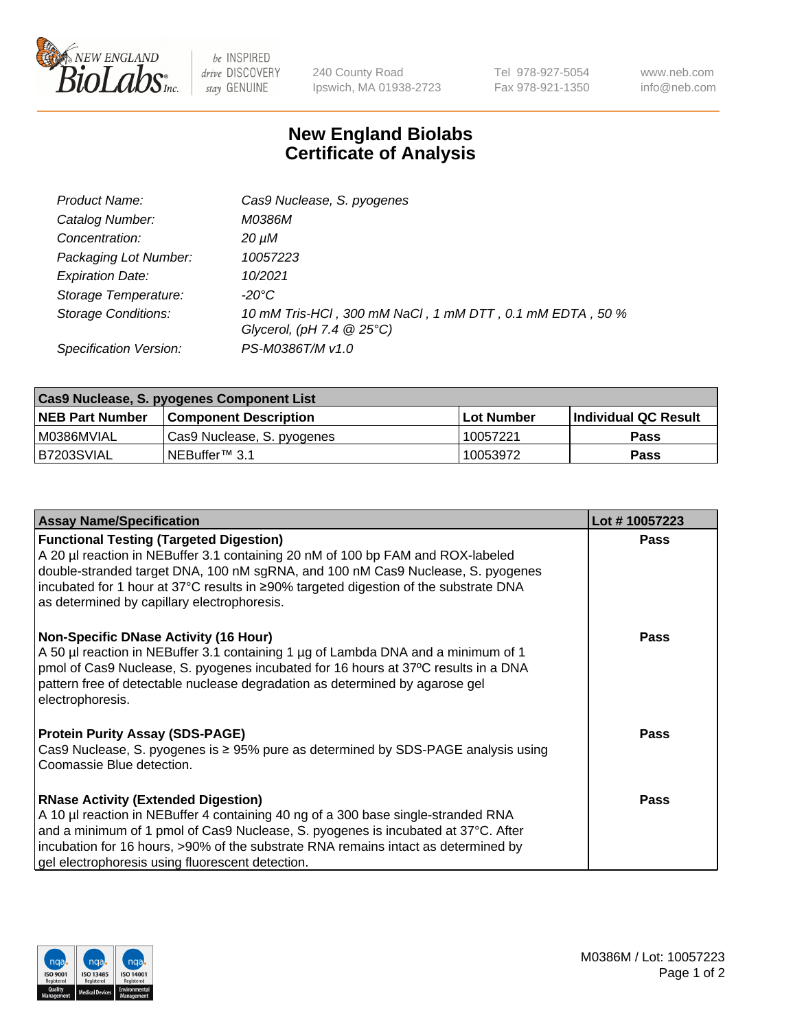

 $be$  INSPIRED drive DISCOVERY stay GENUINE

240 County Road Ipswich, MA 01938-2723 Tel 978-927-5054 Fax 978-921-1350 www.neb.com info@neb.com

## **New England Biolabs Certificate of Analysis**

| Product Name:              | Cas9 Nuclease, S. pyogenes                                                              |
|----------------------------|-----------------------------------------------------------------------------------------|
| Catalog Number:            | M0386M                                                                                  |
| Concentration:             | 20 µM                                                                                   |
| Packaging Lot Number:      | 10057223                                                                                |
| <b>Expiration Date:</b>    | 10/2021                                                                                 |
| Storage Temperature:       | -20°C                                                                                   |
| <b>Storage Conditions:</b> | 10 mM Tris-HCl, 300 mM NaCl, 1 mM DTT, 0.1 mM EDTA, 50 %<br>Glycerol, (pH 7.4 $@25°C$ ) |
| Specification Version:     | PS-M0386T/M v1.0                                                                        |

| Cas9 Nuclease, S. pyogenes Component List |                              |                   |                      |  |  |
|-------------------------------------------|------------------------------|-------------------|----------------------|--|--|
| <b>NEB Part Number</b>                    | <b>Component Description</b> | <b>Lot Number</b> | Individual QC Result |  |  |
| I M0386MVIAL                              | Cas9 Nuclease, S. pyogenes   | 10057221          | <b>Pass</b>          |  |  |
| B7203SVIAL                                | INEBuffer™ 3.1               | 10053972          | <b>Pass</b>          |  |  |

| <b>Assay Name/Specification</b>                                                                                                                                                                                                                                                                                                                                | Lot #10057223 |
|----------------------------------------------------------------------------------------------------------------------------------------------------------------------------------------------------------------------------------------------------------------------------------------------------------------------------------------------------------------|---------------|
| <b>Functional Testing (Targeted Digestion)</b><br>A 20 µl reaction in NEBuffer 3.1 containing 20 nM of 100 bp FAM and ROX-labeled<br>double-stranded target DNA, 100 nM sgRNA, and 100 nM Cas9 Nuclease, S. pyogenes<br> incubated for 1 hour at 37°C results in ≥90% targeted digestion of the substrate DNA<br>as determined by capillary electrophoresis.   | <b>Pass</b>   |
| <b>Non-Specific DNase Activity (16 Hour)</b><br>A 50 µl reaction in NEBuffer 3.1 containing 1 µg of Lambda DNA and a minimum of 1<br>pmol of Cas9 Nuclease, S. pyogenes incubated for 16 hours at 37°C results in a DNA<br>pattern free of detectable nuclease degradation as determined by agarose gel<br>electrophoresis.                                    | <b>Pass</b>   |
| <b>Protein Purity Assay (SDS-PAGE)</b><br>Cas9 Nuclease, S. pyogenes is $\geq$ 95% pure as determined by SDS-PAGE analysis using<br>Coomassie Blue detection.                                                                                                                                                                                                  | <b>Pass</b>   |
| <b>RNase Activity (Extended Digestion)</b><br>A 10 µl reaction in NEBuffer 4 containing 40 ng of a 300 base single-stranded RNA<br>and a minimum of 1 pmol of Cas9 Nuclease, S. pyogenes is incubated at 37°C. After<br>incubation for 16 hours, >90% of the substrate RNA remains intact as determined by<br>gel electrophoresis using fluorescent detection. | <b>Pass</b>   |